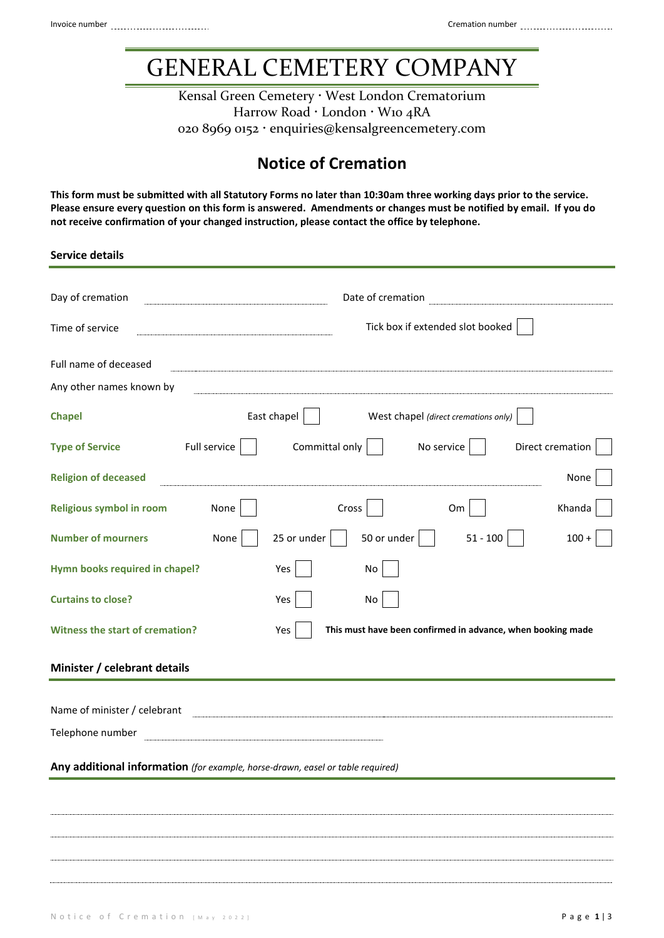## GENERAL CEMETERY COMPANY

Kensal Green Cemetery · West London Crematorium Harrow Road · London · W10 4RA 020 8969 0152 enquiries@kensalgreencemetery.com

## **Notice of Cremation**

**This form must be submitted with all Statutory Forms no later than 10:30am three working days prior to the service. Please ensure every question on this form is answered. Amendments or changes must be notified by email. If you do not receive confirmation of your changed instruction, please contact the office by telephone.**

**Service details**

| Day of cremation                                                               |              |             | Date of cremation                                           |             |                                      |                  |
|--------------------------------------------------------------------------------|--------------|-------------|-------------------------------------------------------------|-------------|--------------------------------------|------------------|
| Time of service                                                                |              |             |                                                             |             | Tick box if extended slot booked     |                  |
| Full name of deceased                                                          |              |             |                                                             |             |                                      |                  |
| Any other names known by                                                       |              |             |                                                             |             |                                      |                  |
| <b>Chapel</b>                                                                  |              | East chapel |                                                             |             | West chapel (direct cremations only) |                  |
| <b>Type of Service</b>                                                         | Full service |             | Committal only                                              |             | No service                           | Direct cremation |
| <b>Religion of deceased</b>                                                    |              |             |                                                             |             |                                      | None             |
| Religious symbol in room                                                       | None         |             | Cross                                                       |             | Om                                   | Khanda           |
| <b>Number of mourners</b>                                                      | None         | 25 or under |                                                             | 50 or under | $51 - 100$                           | $100 -$          |
| Hymn books required in chapel?                                                 |              | Yes         | No                                                          |             |                                      |                  |
| <b>Curtains to close?</b>                                                      |              | Yes         | No                                                          |             |                                      |                  |
| <b>Witness the start of cremation?</b>                                         |              | Yes         | This must have been confirmed in advance, when booking made |             |                                      |                  |
| Minister / celebrant details                                                   |              |             |                                                             |             |                                      |                  |
| Name of minister / celebrant                                                   |              |             |                                                             |             |                                      |                  |
| Telephone number                                                               |              |             |                                                             |             |                                      |                  |
| Any additional information (for example, horse-drawn, easel or table required) |              |             |                                                             |             |                                      |                  |
|                                                                                |              |             |                                                             |             |                                      |                  |
|                                                                                |              |             |                                                             |             |                                      |                  |
|                                                                                |              |             |                                                             |             |                                      |                  |
|                                                                                |              |             |                                                             |             |                                      |                  |
|                                                                                |              |             |                                                             |             |                                      |                  |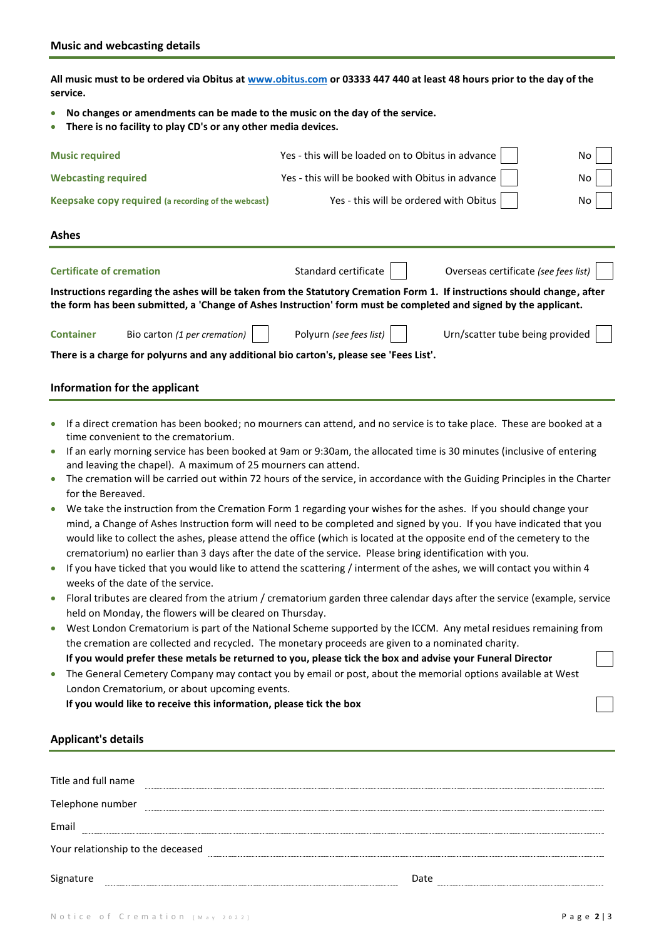**All music must to be ordered via Obitus at [www.obitus.com](http://www.obitus.com/) or 03333 447 440 at least 48 hours prior to the day of the service.**

- **No changes or amendments can be made to the music on the day of the service.**
- **There is no facility to play CD's or any other media devices.**

| <b>Music required</b>                                                                                                                                                                                                                                                                                                                                                                                                                                         | Yes - this will be loaded on to Obitus in advance<br>No                                                                                                                                                                                                                                                                                                                                                                                                                                                                                                                                                                                                                                                                                                                                                                                                                                                                                                                                                                                                                                                                                                                                                                                                                                                                                                                                                                                                                                                                                                                  |  |  |  |  |
|---------------------------------------------------------------------------------------------------------------------------------------------------------------------------------------------------------------------------------------------------------------------------------------------------------------------------------------------------------------------------------------------------------------------------------------------------------------|--------------------------------------------------------------------------------------------------------------------------------------------------------------------------------------------------------------------------------------------------------------------------------------------------------------------------------------------------------------------------------------------------------------------------------------------------------------------------------------------------------------------------------------------------------------------------------------------------------------------------------------------------------------------------------------------------------------------------------------------------------------------------------------------------------------------------------------------------------------------------------------------------------------------------------------------------------------------------------------------------------------------------------------------------------------------------------------------------------------------------------------------------------------------------------------------------------------------------------------------------------------------------------------------------------------------------------------------------------------------------------------------------------------------------------------------------------------------------------------------------------------------------------------------------------------------------|--|--|--|--|
| <b>Webcasting required</b>                                                                                                                                                                                                                                                                                                                                                                                                                                    | Yes - this will be booked with Obitus in advance<br>No                                                                                                                                                                                                                                                                                                                                                                                                                                                                                                                                                                                                                                                                                                                                                                                                                                                                                                                                                                                                                                                                                                                                                                                                                                                                                                                                                                                                                                                                                                                   |  |  |  |  |
| Yes - this will be ordered with Obitus<br>Keepsake copy required (a recording of the webcast)<br>No                                                                                                                                                                                                                                                                                                                                                           |                                                                                                                                                                                                                                                                                                                                                                                                                                                                                                                                                                                                                                                                                                                                                                                                                                                                                                                                                                                                                                                                                                                                                                                                                                                                                                                                                                                                                                                                                                                                                                          |  |  |  |  |
| <b>Ashes</b>                                                                                                                                                                                                                                                                                                                                                                                                                                                  |                                                                                                                                                                                                                                                                                                                                                                                                                                                                                                                                                                                                                                                                                                                                                                                                                                                                                                                                                                                                                                                                                                                                                                                                                                                                                                                                                                                                                                                                                                                                                                          |  |  |  |  |
| <b>Certificate of cremation</b>                                                                                                                                                                                                                                                                                                                                                                                                                               | Standard certificate<br>Overseas certificate (see fees list)                                                                                                                                                                                                                                                                                                                                                                                                                                                                                                                                                                                                                                                                                                                                                                                                                                                                                                                                                                                                                                                                                                                                                                                                                                                                                                                                                                                                                                                                                                             |  |  |  |  |
|                                                                                                                                                                                                                                                                                                                                                                                                                                                               | Instructions regarding the ashes will be taken from the Statutory Cremation Form 1. If instructions should change, after<br>the form has been submitted, a 'Change of Ashes Instruction' form must be completed and signed by the applicant.                                                                                                                                                                                                                                                                                                                                                                                                                                                                                                                                                                                                                                                                                                                                                                                                                                                                                                                                                                                                                                                                                                                                                                                                                                                                                                                             |  |  |  |  |
| <b>Container</b><br>Bio carton (1 per cremation)<br>There is a charge for polyurns and any additional bio carton's, please see 'Fees List'.                                                                                                                                                                                                                                                                                                                   | Polyurn (see fees list)<br>Urn/scatter tube being provided                                                                                                                                                                                                                                                                                                                                                                                                                                                                                                                                                                                                                                                                                                                                                                                                                                                                                                                                                                                                                                                                                                                                                                                                                                                                                                                                                                                                                                                                                                               |  |  |  |  |
|                                                                                                                                                                                                                                                                                                                                                                                                                                                               |                                                                                                                                                                                                                                                                                                                                                                                                                                                                                                                                                                                                                                                                                                                                                                                                                                                                                                                                                                                                                                                                                                                                                                                                                                                                                                                                                                                                                                                                                                                                                                          |  |  |  |  |
| Information for the applicant                                                                                                                                                                                                                                                                                                                                                                                                                                 |                                                                                                                                                                                                                                                                                                                                                                                                                                                                                                                                                                                                                                                                                                                                                                                                                                                                                                                                                                                                                                                                                                                                                                                                                                                                                                                                                                                                                                                                                                                                                                          |  |  |  |  |
| $\bullet$<br>time convenient to the crematorium.<br>$\bullet$<br>and leaving the chapel). A maximum of 25 mourners can attend.<br>$\bullet$<br>for the Bereaved.<br>$\bullet$<br>$\bullet$<br>weeks of the date of the service.<br>$\bullet$<br>held on Monday, the flowers will be cleared on Thursday.<br>London Crematorium, or about upcoming events.<br>If you would like to receive this information, please tick the box<br><b>Applicant's details</b> | If a direct cremation has been booked; no mourners can attend, and no service is to take place. These are booked at a<br>If an early morning service has been booked at 9am or 9:30am, the allocated time is 30 minutes (inclusive of entering<br>The cremation will be carried out within 72 hours of the service, in accordance with the Guiding Principles in the Charter<br>We take the instruction from the Cremation Form 1 regarding your wishes for the ashes. If you should change your<br>mind, a Change of Ashes Instruction form will need to be completed and signed by you. If you have indicated that you<br>would like to collect the ashes, please attend the office (which is located at the opposite end of the cemetery to the<br>crematorium) no earlier than 3 days after the date of the service. Please bring identification with you.<br>If you have ticked that you would like to attend the scattering / interment of the ashes, we will contact you within 4<br>Floral tributes are cleared from the atrium / crematorium garden three calendar days after the service (example, service<br>West London Crematorium is part of the National Scheme supported by the ICCM. Any metal residues remaining from<br>the cremation are collected and recycled. The monetary proceeds are given to a nominated charity.<br>If you would prefer these metals be returned to you, please tick the box and advise your Funeral Director<br>The General Cemetery Company may contact you by email or post, about the memorial options available at West |  |  |  |  |
|                                                                                                                                                                                                                                                                                                                                                                                                                                                               |                                                                                                                                                                                                                                                                                                                                                                                                                                                                                                                                                                                                                                                                                                                                                                                                                                                                                                                                                                                                                                                                                                                                                                                                                                                                                                                                                                                                                                                                                                                                                                          |  |  |  |  |
| Title and full name                                                                                                                                                                                                                                                                                                                                                                                                                                           | <u> 1989 - Johann Stoff, Amerikaansk politiker (* 1989)</u>                                                                                                                                                                                                                                                                                                                                                                                                                                                                                                                                                                                                                                                                                                                                                                                                                                                                                                                                                                                                                                                                                                                                                                                                                                                                                                                                                                                                                                                                                                              |  |  |  |  |
|                                                                                                                                                                                                                                                                                                                                                                                                                                                               | Telephone number <b>contract the contract of the contract of the contract of the contract of the contract of the contract of the contract of the contract of the contract of the contract of the contract of the contract of the</b>                                                                                                                                                                                                                                                                                                                                                                                                                                                                                                                                                                                                                                                                                                                                                                                                                                                                                                                                                                                                                                                                                                                                                                                                                                                                                                                                     |  |  |  |  |
| Email                                                                                                                                                                                                                                                                                                                                                                                                                                                         |                                                                                                                                                                                                                                                                                                                                                                                                                                                                                                                                                                                                                                                                                                                                                                                                                                                                                                                                                                                                                                                                                                                                                                                                                                                                                                                                                                                                                                                                                                                                                                          |  |  |  |  |
|                                                                                                                                                                                                                                                                                                                                                                                                                                                               | Your relationship to the deceased entity and the set of the set of the set of the set of the set of the set of                                                                                                                                                                                                                                                                                                                                                                                                                                                                                                                                                                                                                                                                                                                                                                                                                                                                                                                                                                                                                                                                                                                                                                                                                                                                                                                                                                                                                                                           |  |  |  |  |

Signature **Example 2018** Date **Date Date Date Date Date Date Date Date Date Date Date Date Date Date Date Date Date Date Date Date Date Date Date Date Date Date Date Da**